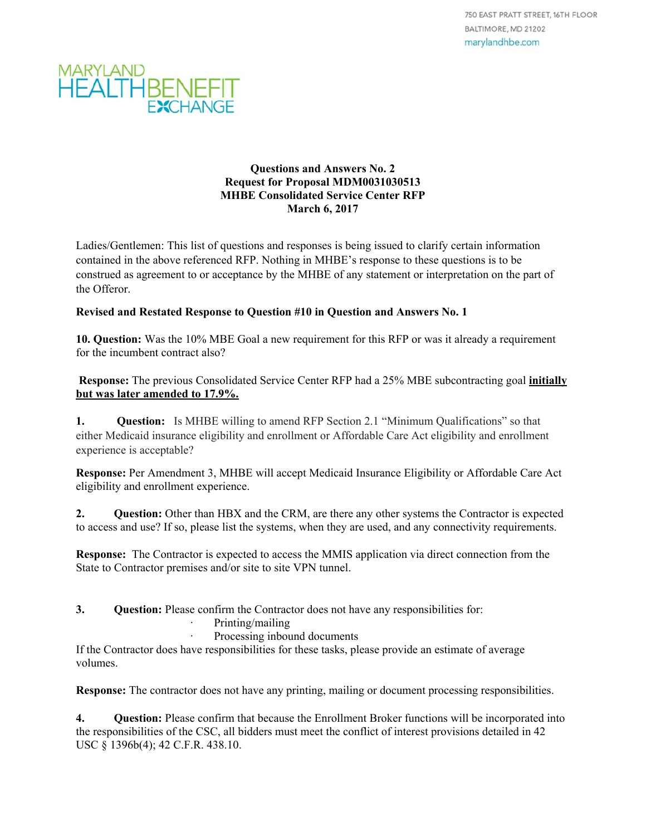

#### **Questions and Answers No. 2 Request for Proposal MDM0031030513 MHBE Consolidated Service Center RFP March 6, 2017**

Ladies/Gentlemen: This list of questions and responses is being issued to clarify certain information contained in the above referenced RFP. Nothing in MHBE's response to these questions is to be construed as agreement to or acceptance by the MHBE of any statement or interpretation on the part of the Offeror.

#### **Revised and Restated Response to Question #10 in Question and Answers No. 1**

**10. Question:** Was the 10% MBE Goal a new requirement for this RFP or was it already a requirement for the incumbent contract also?

 **Response:** The previous Consolidated Service Center RFP had a 25% MBE subcontracting goal **initially but was later amended to 17.9%.** 

**1. Question:** Is MHBE willing to amend RFP Section 2.1 "Minimum Qualifications" so that either Medicaid insurance eligibility and enrollment or Affordable Care Act eligibility and enrollment experience is acceptable?

**Response:** Per Amendment 3, MHBE will accept Medicaid Insurance Eligibility or Affordable Care Act eligibility and enrollment experience.

**2.** Question: Other than HBX and the CRM, are there any other systems the Contractor is expected to access and use? If so, please list the systems, when they are used, and any connectivity requirements.

**Response:** The Contractor is expected to access the MMIS application via direct connection from the State to Contractor premises and/or site to site VPN tunnel.

- **3. Question:** Please confirm the Contractor does not have any responsibilities for:
	- Printing/mailing
		- Processing inbound documents

If the Contractor does have responsibilities for these tasks, please provide an estimate of average volumes.

**Response:** The contractor does not have any printing, mailing or document processing responsibilities.

**4. Question:** Please confirm that because the Enrollment Broker functions will be incorporated into the responsibilities of the CSC, all bidders must meet the conflict of interest provisions detailed in 42 USC § 1396b(4); 42 C.F.R. 438.10.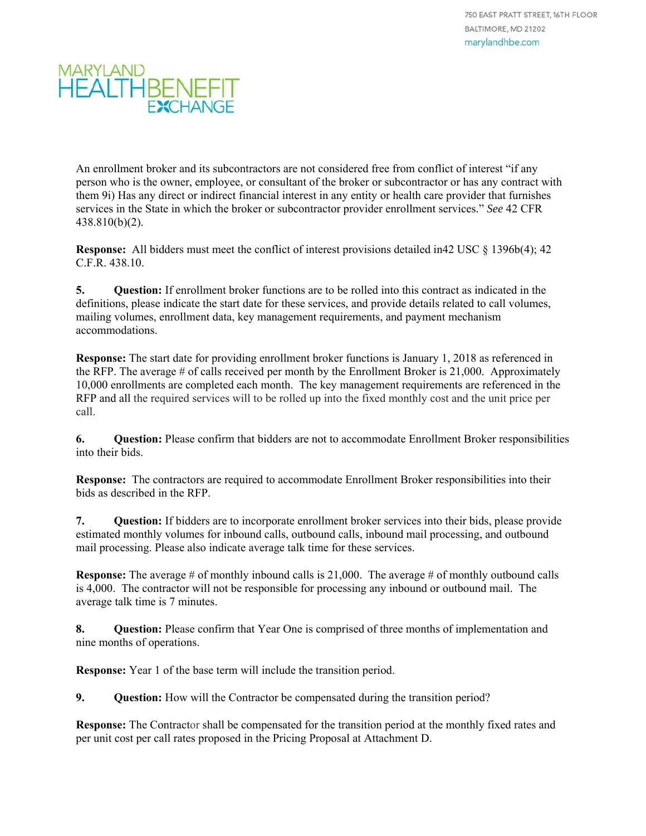An enrollment broker and its subcontractors are not considered free from conflict of interest "if any person who is the owner, employee, or consultant of the broker or subcontractor or has any contract with them 9i) Has any direct or indirect financial interest in any entity or health care provider that furnishes services in the State in which the broker or subcontractor provider enrollment services." *See* 42 CFR 438.810(b)(2).

**Response:** All bidders must meet the conflict of interest provisions detailed in42 USC § 1396b(4); 42 C.F.R. 438.10.

**5. Question:** If enrollment broker functions are to be rolled into this contract as indicated in the definitions, please indicate the start date for these services, and provide details related to call volumes, mailing volumes, enrollment data, key management requirements, and payment mechanism accommodations.

**Response:** The start date for providing enrollment broker functions is January 1, 2018 as referenced in the RFP. The average # of calls received per month by the Enrollment Broker is 21,000. Approximately 10,000 enrollments are completed each month. The key management requirements are referenced in the RFP and all the required services will to be rolled up into the fixed monthly cost and the unit price per call.

**6. Question:** Please confirm that bidders are not to accommodate Enrollment Broker responsibilities into their bids.

**Response:** The contractors are required to accommodate Enrollment Broker responsibilities into their bids as described in the RFP.

**7. Question:** If bidders are to incorporate enrollment broker services into their bids, please provide estimated monthly volumes for inbound calls, outbound calls, inbound mail processing, and outbound mail processing. Please also indicate average talk time for these services.

**Response:** The average # of monthly inbound calls is 21,000. The average # of monthly outbound calls is 4,000. The contractor will not be responsible for processing any inbound or outbound mail. The average talk time is 7 minutes.

**8.** Question: Please confirm that Year One is comprised of three months of implementation and nine months of operations.

**Response:** Year 1 of the base term will include the transition period.

**9. Question:** How will the Contractor be compensated during the transition period?

**Response:** The Contractor shall be compensated for the transition period at the monthly fixed rates and per unit cost per call rates proposed in the Pricing Proposal at Attachment D.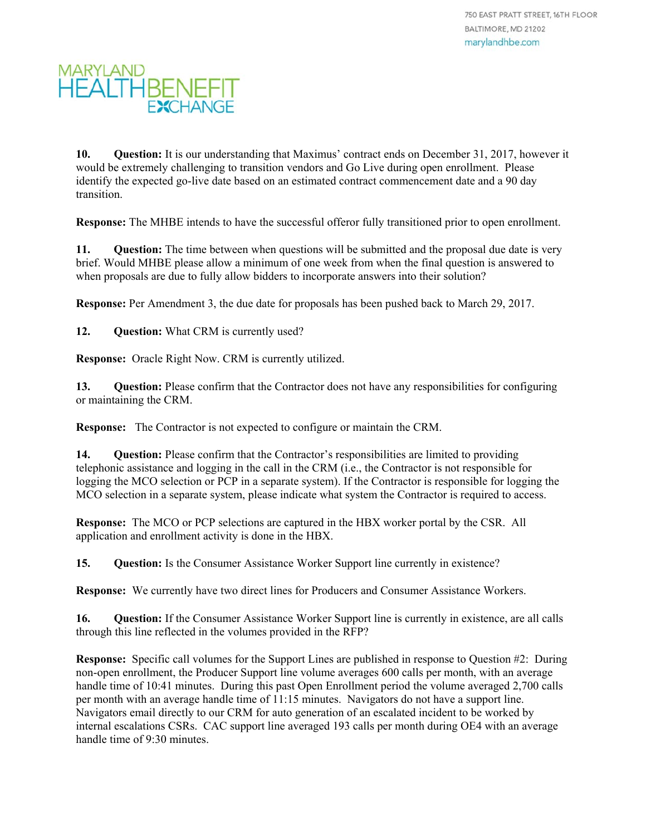**10. Question:** It is our understanding that Maximus' contract ends on December 31, 2017, however it would be extremely challenging to transition vendors and Go Live during open enrollment. Please identify the expected go-live date based on an estimated contract commencement date and a 90 day transition.

**Response:** The MHBE intends to have the successful offeror fully transitioned prior to open enrollment.

**11.** Question: The time between when questions will be submitted and the proposal due date is very brief. Would MHBE please allow a minimum of one week from when the final question is answered to when proposals are due to fully allow bidders to incorporate answers into their solution?

**Response:** Per Amendment 3, the due date for proposals has been pushed back to March 29, 2017.

12. **Question:** What CRM is currently used?

**Response:** Oracle Right Now. CRM is currently utilized.

**13. Question:** Please confirm that the Contractor does not have any responsibilities for configuring or maintaining the CRM.

**Response:** The Contractor is not expected to configure or maintain the CRM.

**14.** Question: Please confirm that the Contractor's responsibilities are limited to providing telephonic assistance and logging in the call in the CRM (i.e., the Contractor is not responsible for logging the MCO selection or PCP in a separate system). If the Contractor is responsible for logging the MCO selection in a separate system, please indicate what system the Contractor is required to access.

**Response:** The MCO or PCP selections are captured in the HBX worker portal by the CSR. All application and enrollment activity is done in the HBX.

**15.** Question: Is the Consumer Assistance Worker Support line currently in existence?

**Response:** We currently have two direct lines for Producers and Consumer Assistance Workers.

**16. Question:** If the Consumer Assistance Worker Support line is currently in existence, are all calls through this line reflected in the volumes provided in the RFP?

**Response:** Specific call volumes for the Support Lines are published in response to Question #2: During non-open enrollment, the Producer Support line volume averages 600 calls per month, with an average handle time of 10:41 minutes. During this past Open Enrollment period the volume averaged 2,700 calls per month with an average handle time of 11:15 minutes. Navigators do not have a support line. Navigators email directly to our CRM for auto generation of an escalated incident to be worked by internal escalations CSRs. CAC support line averaged 193 calls per month during OE4 with an average handle time of 9:30 minutes.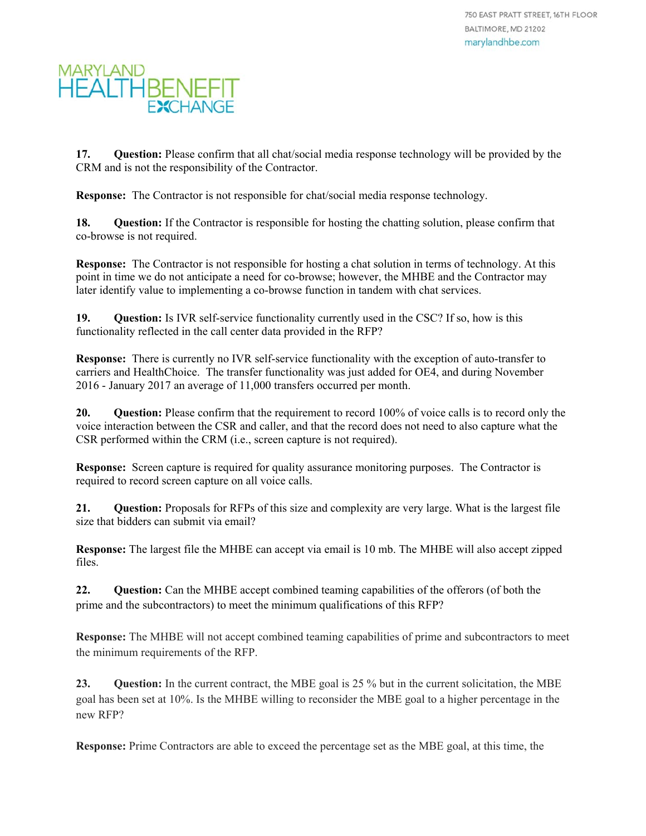**17.** Question: Please confirm that all chat/social media response technology will be provided by the CRM and is not the responsibility of the Contractor.

**Response:** The Contractor is not responsible for chat/social media response technology.

**18. Question:** If the Contractor is responsible for hosting the chatting solution, please confirm that co-browse is not required.

**Response:** The Contractor is not responsible for hosting a chat solution in terms of technology. At this point in time we do not anticipate a need for co-browse; however, the MHBE and the Contractor may later identify value to implementing a co-browse function in tandem with chat services.

**19. Question:** Is IVR self-service functionality currently used in the CSC? If so, how is this functionality reflected in the call center data provided in the RFP?

**Response:** There is currently no IVR self-service functionality with the exception of auto-transfer to carriers and HealthChoice. The transfer functionality was just added for OE4, and during November 2016 - January 2017 an average of 11,000 transfers occurred per month.

**20. Question:** Please confirm that the requirement to record 100% of voice calls is to record only the voice interaction between the CSR and caller, and that the record does not need to also capture what the CSR performed within the CRM (i.e., screen capture is not required).

**Response:** Screen capture is required for quality assurance monitoring purposes. The Contractor is required to record screen capture on all voice calls.

**21. Question:** Proposals for RFPs of this size and complexity are very large. What is the largest file size that bidders can submit via email?

**Response:** The largest file the MHBE can accept via email is 10 mb. The MHBE will also accept zipped files.

22. **Question:** Can the MHBE accept combined teaming capabilities of the offerors (of both the prime and the subcontractors) to meet the minimum qualifications of this RFP?

**Response:** The MHBE will not accept combined teaming capabilities of prime and subcontractors to meet the minimum requirements of the RFP.

**23.** Question: In the current contract, the MBE goal is 25 % but in the current solicitation, the MBE goal has been set at 10%. Is the MHBE willing to reconsider the MBE goal to a higher percentage in the new RFP?

**Response:** Prime Contractors are able to exceed the percentage set as the MBE goal, at this time, the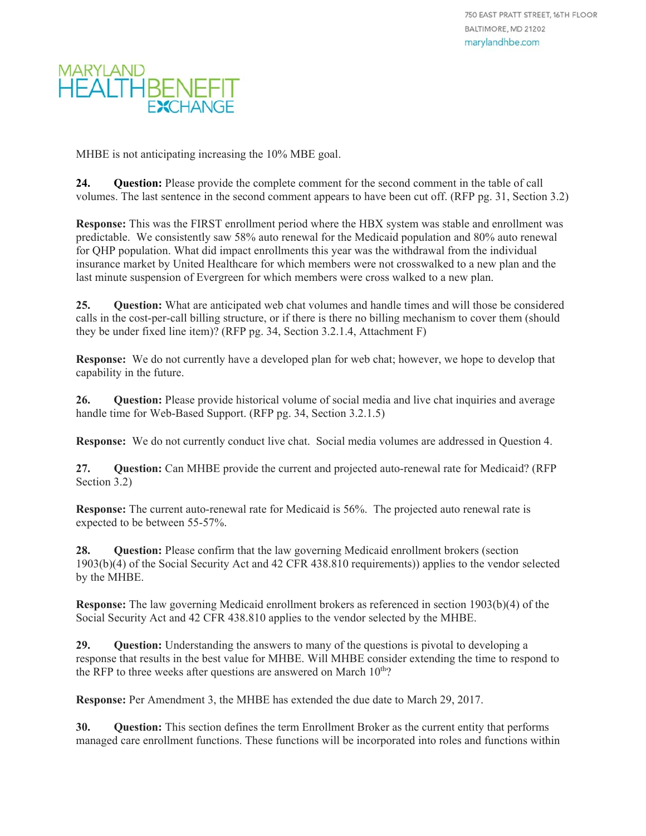MHBE is not anticipating increasing the 10% MBE goal.

**24. Question:** Please provide the complete comment for the second comment in the table of call volumes. The last sentence in the second comment appears to have been cut off. (RFP pg. 31, Section 3.2)

**Response:** This was the FIRST enrollment period where the HBX system was stable and enrollment was predictable. We consistently saw 58% auto renewal for the Medicaid population and 80% auto renewal for QHP population. What did impact enrollments this year was the withdrawal from the individual insurance market by United Healthcare for which members were not crosswalked to a new plan and the last minute suspension of Evergreen for which members were cross walked to a new plan.

**25. Question:** What are anticipated web chat volumes and handle times and will those be considered calls in the cost-per-call billing structure, or if there is there no billing mechanism to cover them (should they be under fixed line item)? (RFP pg. 34, Section 3.2.1.4, Attachment F)

**Response:** We do not currently have a developed plan for web chat; however, we hope to develop that capability in the future.

**26. Question:** Please provide historical volume of social media and live chat inquiries and average handle time for Web-Based Support. (RFP pg. 34, Section 3.2.1.5)

**Response:** We do not currently conduct live chat. Social media volumes are addressed in Question 4.

**27. Question:** Can MHBE provide the current and projected auto-renewal rate for Medicaid? (RFP Section 3.2)

**Response:** The current auto-renewal rate for Medicaid is 56%. The projected auto renewal rate is expected to be between 55-57%.

**28.** Question: Please confirm that the law governing Medicaid enrollment brokers (section 1903(b)(4) of the Social Security Act and 42 CFR 438.810 requirements)) applies to the vendor selected by the MHBE.

**Response:** The law governing Medicaid enrollment brokers as referenced in section 1903(b)(4) of the Social Security Act and 42 CFR 438.810 applies to the vendor selected by the MHBE.

**29. Question:** Understanding the answers to many of the questions is pivotal to developing a response that results in the best value for MHBE. Will MHBE consider extending the time to respond to the RFP to three weeks after questions are answered on March  $10^{th}$ ?

**Response:** Per Amendment 3, the MHBE has extended the due date to March 29, 2017.

**30. Question:** This section defines the term Enrollment Broker as the current entity that performs managed care enrollment functions. These functions will be incorporated into roles and functions within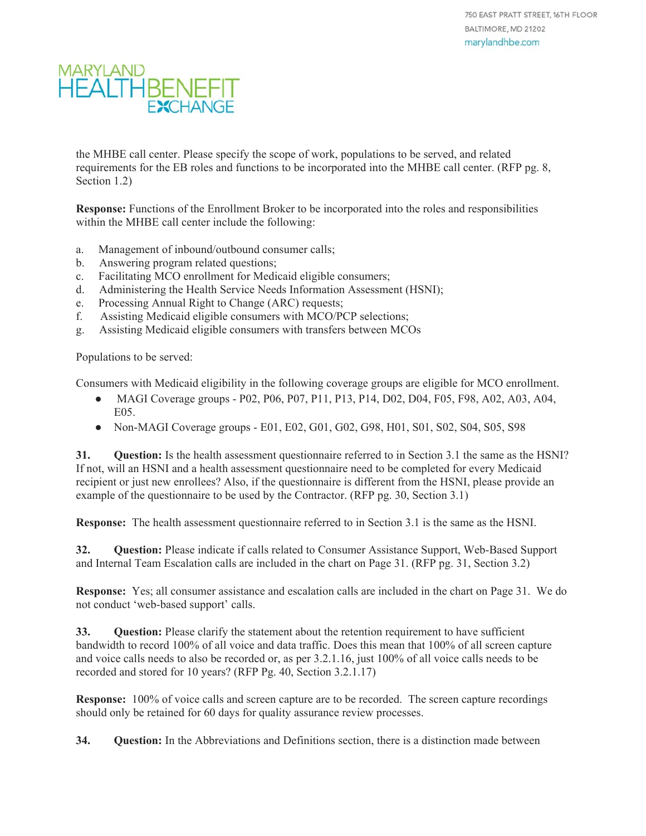the MHBE call center. Please specify the scope of work, populations to be served, and related requirements for the EB roles and functions to be incorporated into the MHBE call center. (RFP pg. 8, Section 1.2)

**Response:** Functions of the Enrollment Broker to be incorporated into the roles and responsibilities within the MHBE call center include the following:

- a. Management of inbound/outbound consumer calls;
- b. Answering program related questions;
- c. Facilitating MCO enrollment for Medicaid eligible consumers;
- d. Administering the Health Service Needs Information Assessment (HSNI);
- e. Processing Annual Right to Change (ARC) requests;
- f. Assisting Medicaid eligible consumers with MCO/PCP selections;
- g. Assisting Medicaid eligible consumers with transfers between MCOs

Populations to be served:

Consumers with Medicaid eligibility in the following coverage groups are eligible for MCO enrollment.

- MAGI Coverage groups P02, P06, P07, P11, P13, P14, D02, D04, F05, F98, A02, A03, A04, E05.
- Non-MAGI Coverage groups E01, E02, G01, G02, G98, H01, S01, S02, S04, S05, S98

**31. Question:** Is the health assessment questionnaire referred to in Section 3.1 the same as the HSNI? If not, will an HSNI and a health assessment questionnaire need to be completed for every Medicaid recipient or just new enrollees? Also, if the questionnaire is different from the HSNI, please provide an example of the questionnaire to be used by the Contractor. (RFP pg. 30, Section 3.1)

**Response:** The health assessment questionnaire referred to in Section 3.1 is the same as the HSNI.

**32. Question:** Please indicate if calls related to Consumer Assistance Support, Web-Based Support and Internal Team Escalation calls are included in the chart on Page 31. (RFP pg. 31, Section 3.2)

**Response:** Yes; all consumer assistance and escalation calls are included in the chart on Page 31. We do not conduct 'web-based support' calls.

**33.** Question: Please clarify the statement about the retention requirement to have sufficient bandwidth to record 100% of all voice and data traffic. Does this mean that 100% of all screen capture and voice calls needs to also be recorded or, as per 3.2.1.16, just 100% of all voice calls needs to be recorded and stored for 10 years? (RFP Pg. 40, Section 3.2.1.17)

**Response:** 100% of voice calls and screen capture are to be recorded. The screen capture recordings should only be retained for 60 days for quality assurance review processes.

**34. Question:** In the Abbreviations and Definitions section, there is a distinction made between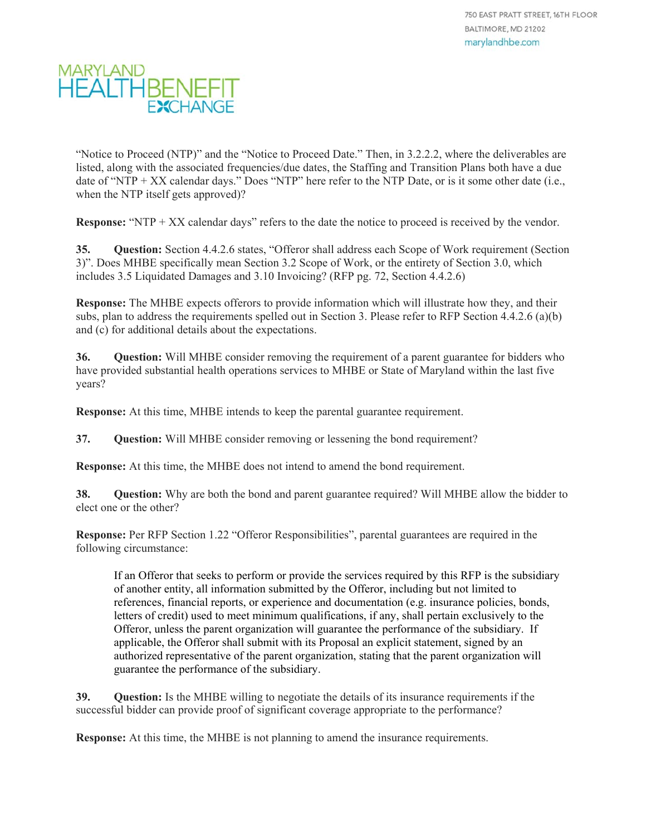

"Notice to Proceed (NTP)" and the "Notice to Proceed Date." Then, in 3.2.2.2, where the deliverables are listed, along with the associated frequencies/due dates, the Staffing and Transition Plans both have a due date of "NTP + XX calendar days." Does "NTP" here refer to the NTP Date, or is it some other date (i.e., when the NTP itself gets approved)?

**Response:** "NTP + XX calendar days" refers to the date the notice to proceed is received by the vendor.

**35. Question:** Section 4.4.2.6 states, "Offeror shall address each Scope of Work requirement (Section 3)". Does MHBE specifically mean Section 3.2 Scope of Work, or the entirety of Section 3.0, which includes 3.5 Liquidated Damages and 3.10 Invoicing? (RFP pg. 72, Section 4.4.2.6)

**Response:** The MHBE expects offerors to provide information which will illustrate how they, and their subs, plan to address the requirements spelled out in Section 3. Please refer to RFP Section 4.4.2.6 (a)(b) and (c) for additional details about the expectations.

**36. Question:** Will MHBE consider removing the requirement of a parent guarantee for bidders who have provided substantial health operations services to MHBE or State of Maryland within the last five years?

**Response:** At this time, MHBE intends to keep the parental guarantee requirement.

**37. Question:** Will MHBE consider removing or lessening the bond requirement?

**Response:** At this time, the MHBE does not intend to amend the bond requirement.

**38. Question:** Why are both the bond and parent guarantee required? Will MHBE allow the bidder to elect one or the other?

**Response:** Per RFP Section 1.22 "Offeror Responsibilities", parental guarantees are required in the following circumstance:

If an Offeror that seeks to perform or provide the services required by this RFP is the subsidiary of another entity, all information submitted by the Offeror, including but not limited to references, financial reports, or experience and documentation (e.g. insurance policies, bonds, letters of credit) used to meet minimum qualifications, if any, shall pertain exclusively to the Offeror, unless the parent organization will guarantee the performance of the subsidiary. If applicable, the Offeror shall submit with its Proposal an explicit statement, signed by an authorized representative of the parent organization, stating that the parent organization will guarantee the performance of the subsidiary.

**39. Question:** Is the MHBE willing to negotiate the details of its insurance requirements if the successful bidder can provide proof of significant coverage appropriate to the performance?

**Response:** At this time, the MHBE is not planning to amend the insurance requirements.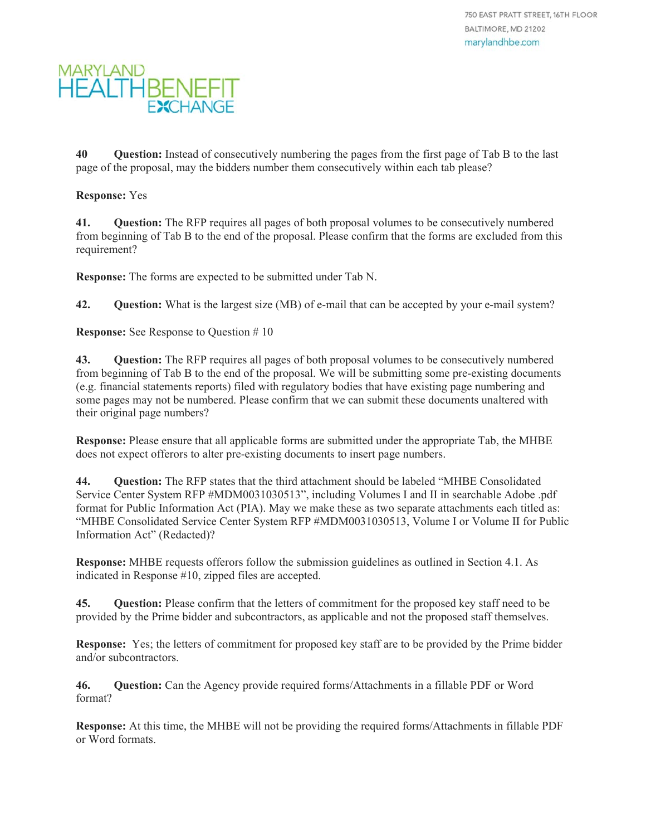

**40 Question:** Instead of consecutively numbering the pages from the first page of Tab B to the last page of the proposal, may the bidders number them consecutively within each tab please?

#### **Response:** Yes

**41. Question:** The RFP requires all pages of both proposal volumes to be consecutively numbered from beginning of Tab B to the end of the proposal. Please confirm that the forms are excluded from this requirement?

**Response:** The forms are expected to be submitted under Tab N.

**42. Question:** What is the largest size (MB) of e-mail that can be accepted by your e-mail system?

**Response:** See Response to Question # 10

**43. Question:** The RFP requires all pages of both proposal volumes to be consecutively numbered from beginning of Tab B to the end of the proposal. We will be submitting some pre-existing documents (e.g. financial statements reports) filed with regulatory bodies that have existing page numbering and some pages may not be numbered. Please confirm that we can submit these documents unaltered with their original page numbers?

**Response:** Please ensure that all applicable forms are submitted under the appropriate Tab, the MHBE does not expect offerors to alter pre-existing documents to insert page numbers.

**44. Question:** The RFP states that the third attachment should be labeled "MHBE Consolidated Service Center System RFP #MDM0031030513", including Volumes I and II in searchable Adobe .pdf format for Public Information Act (PIA). May we make these as two separate attachments each titled as: "MHBE Consolidated Service Center System RFP #MDM0031030513, Volume I or Volume II for Public Information Act" (Redacted)?

**Response:** MHBE requests offerors follow the submission guidelines as outlined in Section 4.1. As indicated in Response #10, zipped files are accepted.

**45. Question:** Please confirm that the letters of commitment for the proposed key staff need to be provided by the Prime bidder and subcontractors, as applicable and not the proposed staff themselves.

**Response:** Yes; the letters of commitment for proposed key staff are to be provided by the Prime bidder and/or subcontractors.

**46. Question:** Can the Agency provide required forms/Attachments in a fillable PDF or Word format?

**Response:** At this time, the MHBE will not be providing the required forms/Attachments in fillable PDF or Word formats.